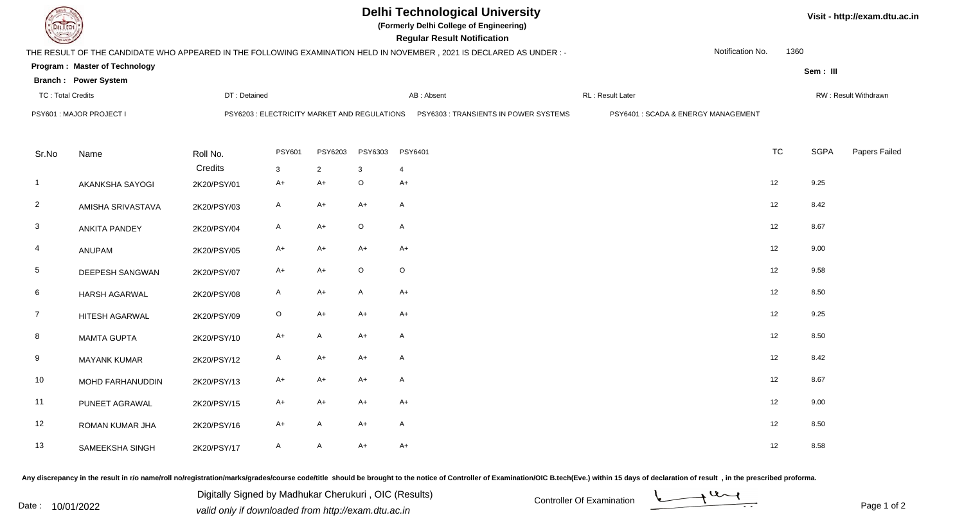|                                                         |                               |              | <b>Delhi Technological University</b><br>(Formerly Delhi College of Engineering)<br><b>Regular Result Notification</b> |                |         | Visit - http://exam.dtu.ac.in                                                                                        |                                     |                  |           |                      |               |  |
|---------------------------------------------------------|-------------------------------|--------------|------------------------------------------------------------------------------------------------------------------------|----------------|---------|----------------------------------------------------------------------------------------------------------------------|-------------------------------------|------------------|-----------|----------------------|---------------|--|
|                                                         |                               |              |                                                                                                                        |                |         | THE RESULT OF THE CANDIDATE WHO APPEARED IN THE FOLLOWING EXAMINATION HELD IN NOVEMBER, 2021 IS DECLARED AS UNDER :- |                                     | Notification No. | 1360      |                      |               |  |
|                                                         | Program: Master of Technology |              |                                                                                                                        |                |         |                                                                                                                      |                                     |                  |           | Sem: III             |               |  |
| <b>Branch: Power System</b><br><b>TC: Total Credits</b> |                               | DT: Detained |                                                                                                                        |                |         | AB: Absent                                                                                                           | RL: Result Later                    |                  |           | RW: Result Withdrawn |               |  |
| PSY601 : MAJOR PROJECT I                                |                               |              | PSY6203 : ELECTRICITY MARKET AND REGULATIONS                                                                           |                |         | PSY6303 : TRANSIENTS IN POWER SYSTEMS                                                                                | PSY6401 : SCADA & ENERGY MANAGEMENT |                  |           |                      |               |  |
| Sr.No                                                   | Name                          | Roll No.     | <b>PSY601</b>                                                                                                          | PSY6203        | PSY6303 | PSY6401                                                                                                              |                                     |                  | <b>TC</b> | <b>SGPA</b>          | Papers Failed |  |
|                                                         |                               | Credits      | $\mathbf{3}$                                                                                                           | $\overline{2}$ | 3       | $\overline{4}$                                                                                                       |                                     |                  |           |                      |               |  |
| $\overline{1}$                                          | <b>AKANKSHA SAYOGI</b>        | 2K20/PSY/01  | $A+$                                                                                                                   | $A+$           | $\circ$ | $A+$                                                                                                                 |                                     |                  | 12        | 9.25                 |               |  |
| $\overline{2}$                                          | AMISHA SRIVASTAVA             | 2K20/PSY/03  | A                                                                                                                      | $A+$           | $A+$    | $\mathsf{A}$                                                                                                         |                                     |                  | 12        | 8.42                 |               |  |
| $\mathbf{3}$                                            | <b>ANKITA PANDEY</b>          | 2K20/PSY/04  | A                                                                                                                      | A+             | $\circ$ | $\mathsf{A}$                                                                                                         |                                     |                  | 12        | 8.67                 |               |  |
| 4                                                       | ANUPAM                        | 2K20/PSY/05  | A+                                                                                                                     | A+             | $A+$    | $A+$                                                                                                                 |                                     |                  | 12        | 9.00                 |               |  |
| $5\phantom{.0}$                                         | DEEPESH SANGWAN               | 2K20/PSY/07  | A+                                                                                                                     | $A+$           | $\circ$ | $\circ$                                                                                                              |                                     |                  | 12        | 9.58                 |               |  |
| 6                                                       | <b>HARSH AGARWAL</b>          | 2K20/PSY/08  | A                                                                                                                      | $A+$           | A       | $A+$                                                                                                                 |                                     |                  | 12        | 8.50                 |               |  |
| $\overline{7}$                                          | HITESH AGARWAL                | 2K20/PSY/09  | $\mathsf O$                                                                                                            | $A+$           | $A+$    | $A+$                                                                                                                 |                                     |                  | 12        | 9.25                 |               |  |
| 8                                                       | <b>MAMTA GUPTA</b>            | 2K20/PSY/10  | A+                                                                                                                     | A              | $A+$    | $\mathsf{A}$                                                                                                         |                                     |                  | 12        | 8.50                 |               |  |
| 9                                                       | <b>MAYANK KUMAR</b>           | 2K20/PSY/12  | A                                                                                                                      | $A+$           | $A+$    | $\mathsf{A}$                                                                                                         |                                     |                  | 12        | 8.42                 |               |  |
| 10                                                      | MOHD FARHANUDDIN              | 2K20/PSY/13  | A+                                                                                                                     | A+             | $A+$    | $\mathsf{A}$                                                                                                         |                                     |                  | 12        | 8.67                 |               |  |
| 11                                                      | PUNEET AGRAWAL                | 2K20/PSY/15  | A+                                                                                                                     | A+             | $A+$    | $A+$                                                                                                                 |                                     |                  | 12        | 9.00                 |               |  |
| 12                                                      | ROMAN KUMAR JHA               | 2K20/PSY/16  | A+                                                                                                                     | $\mathsf{A}$   | A+      | $\mathsf{A}$                                                                                                         |                                     |                  | 12        | 8.50                 |               |  |
| 13                                                      | SAMEEKSHA SINGH               | 2K20/PSY/17  | A                                                                                                                      | A              | A+      | $A+$                                                                                                                 |                                     |                  | 12        | 8.58                 |               |  |

Any discrepancy in the result in r/o name/roll no/registration/marks/grades/course code/title should be brought to the notice of Controller of Examination/OIC B.tech(Eve.) within 15 days of declaration of result ,in the p

Digitally Signed by Madhukar Cherukuri, OIC (Results)<br>Date : 10/01/2022 valid only if downloaded from http://oxam.dtu.ac.in Digitally Signed by Madhukar Cherukuri , OIC (Results)valid only if downloaded from http://exam.dtu.ac.in